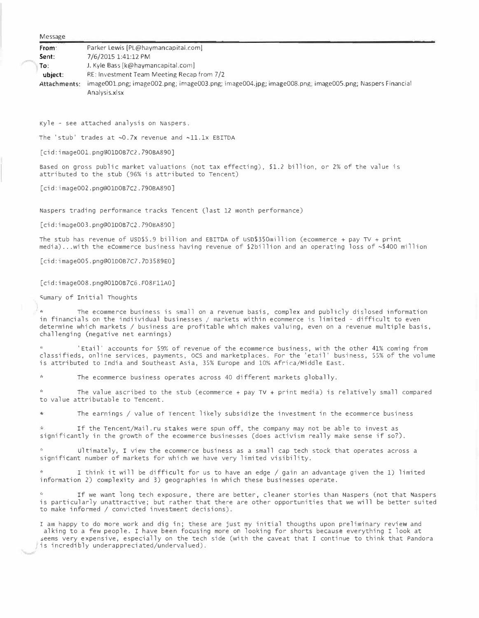| <b>IVICSSORE</b> |                                                                                                       |
|------------------|-------------------------------------------------------------------------------------------------------|
| From:            | Parker Lewis (PL@haymancapital.com)                                                                   |
| Sent:            | 7/6/2015 1:41:12 PM                                                                                   |
| To:              | J. Kyle Bass [k@haymancapital.com]                                                                    |
| ubiect:          | RE: Investment Team Meeting Recap from 7/2                                                            |
| Attachments:     | image001.png; image002.png; image003.png; image004.jpg; image008.png; image005.png; Naspers Financial |
|                  | Analysis.xlsx                                                                                         |
|                  |                                                                                                       |

Kyle - see attached analysis on Naspers.

The 'stub' trades at  $\sim 0.7x$  revenue and  $\sim 11.1x$  EBITDA

[cid:image001.png@01D0B7C2.790BA890]

Message

Based on gross public market valuations (not tax effecting), \$1.2 billion, or 2% of the value is attributed to the stub (96% is attributed to Tencent)

[cid:image002.png@01D0B7CZ.790BA890]

Naspers trading performance tracks Tencent (last 12 month performance)

[cid:image003.png@01D0B7C2.790BA890]

The stub has revenue of USD\$5.9 billion and EBITDA of USD\$350million (ecommerce + pay TV + print media) ... with the eCommerce business having revenue of \$2billion and an operating loss of ~\$400 million

[cid:image005.png@01D0B7C7.7D3589EO]

[cid:image008.png@01D0B7C6.F08FllAO]

�umary of Initial Thoughts

The ecommerce business is small on a revenue basis, complex and publicly dislosed information in financials on the indiividual businesses/ markets within ecommerce is limited - difficult to even determine which markets/ business are profitable which makes valuing, even on a revenue multiple basis, challenging (negative net earnings)

'Etail' accounts for 59% of revenue of the ecommerce business, with the other 41% coming from classifieds, online services, payments, ocs and marketplaces. For the 'etail' business, 55% of the volume is attributed to India and southeast Asia, 35% Europe and 10% Africa/Middle East.

The ecommerce business operates across 40 different markets globally.

The value ascribed to the stub (ecommerce + pay TV + print media) is relatively small compared to value attributable to Tencent.

The earnings / value of Tencent likely subsidize the investment in the ecommerce business

If the Tencent/Mail .ru stakes were spun off, the company may not be able to invest as significantly in the growth of the ecommerce businesses (does activism really make sense if so?).

Ultimately, I view the ecommerce business as a small cap tech stock that operates across a significant number of markets for which we have very limited visibility.

I think it will be difficult for us to have an edge / gain an advantage given the 1) limited information 2) complexity and 3) geographies in which these businesses operate.

If we want long tech exposure, there are better, cleaner stories than Naspers (not that Naspers is particularly unattractive; but rather that there are other opportunities that we will be better suited to make informed/ convicted investment decisions).

I am happy to do more work and dig in; these are just my initial thougths upon preliminary review and al king to a few people. I have been focusing more on looking for shorts because everything I look at �eems very expensive, especially on the tech side (with the caveat that I continue to think that Pandora is incredibly underappreciated/undervalued).